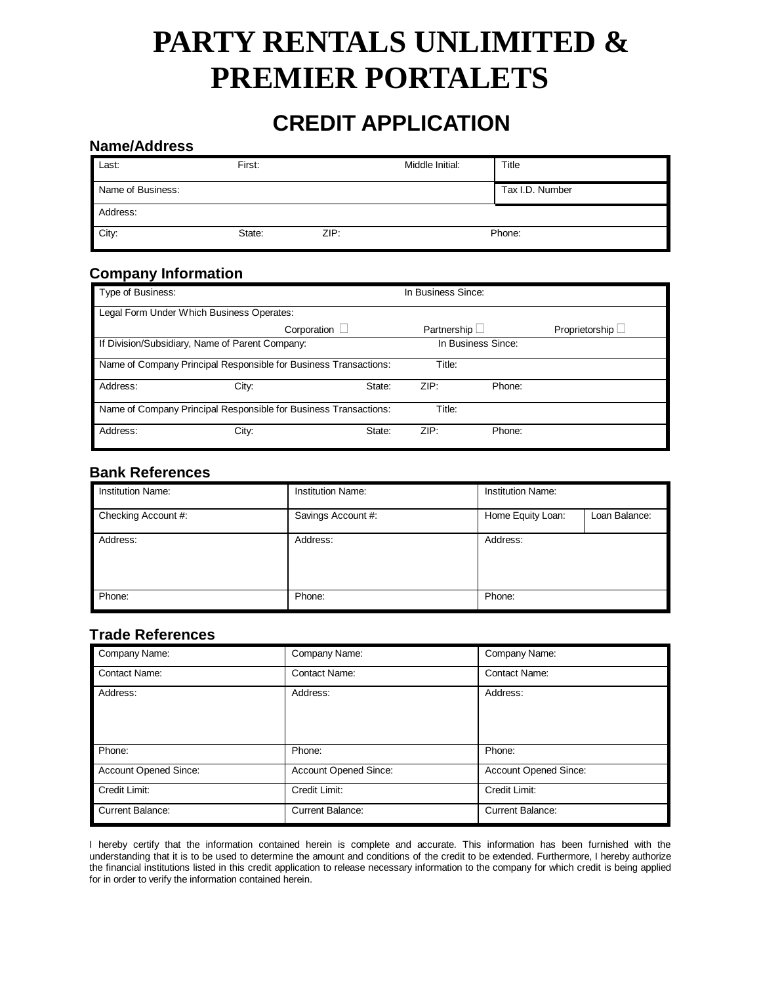# **PARTY RENTALS UNLIMITED & PREMIER PORTALETS**

## **CREDIT APPLICATION**

#### **Name/Address**

| Last:             | First: |      | Middle Initial: | Title           |
|-------------------|--------|------|-----------------|-----------------|
| Name of Business: |        |      |                 | Tax I.D. Number |
| Address:          |        |      |                 |                 |
| City:             | State: | ZIP: | Phone:          |                 |

### **Company Information**

| Type of Business:                                                |                                                                  |        |                    |        | In Business Since: |  |  |
|------------------------------------------------------------------|------------------------------------------------------------------|--------|--------------------|--------|--------------------|--|--|
| Legal Form Under Which Business Operates:                        |                                                                  |        |                    |        |                    |  |  |
|                                                                  | Corporation $\Box$                                               |        | Partnership $\Box$ |        | Proprietorship L   |  |  |
| If Division/Subsidiary, Name of Parent Company:                  |                                                                  |        | In Business Since: |        |                    |  |  |
|                                                                  | Name of Company Principal Responsible for Business Transactions: |        | Title:             |        |                    |  |  |
| Address:                                                         | City:                                                            | State: | ZIP:               | Phone: |                    |  |  |
| Name of Company Principal Responsible for Business Transactions: |                                                                  |        | Title:             |        |                    |  |  |
| Address:                                                         | City:                                                            | State: | ZIP:               | Phone: |                    |  |  |

#### **Bank References**

| <b>Institution Name:</b> | <b>Institution Name:</b> | <b>Institution Name:</b> |               |
|--------------------------|--------------------------|--------------------------|---------------|
| Checking Account #:      | Savings Account #:       | Home Equity Loan:        | Loan Balance: |
| Address:                 | Address:                 | Address:                 |               |
| Phone:                   | Phone:                   | Phone:                   |               |

#### **Trade References**

| Company Name:           | Company Name:           | Company Name:           |
|-------------------------|-------------------------|-------------------------|
| <b>Contact Name:</b>    | <b>Contact Name:</b>    | <b>Contact Name:</b>    |
| Address:                | Address:                | Address:                |
| Phone:                  | Phone:                  | Phone:                  |
| Account Opened Since:   | Account Opened Since:   | Account Opened Since:   |
| Credit Limit:           | Credit Limit:           | Credit Limit:           |
| <b>Current Balance:</b> | <b>Current Balance:</b> | <b>Current Balance:</b> |

I hereby certify that the information contained herein is complete and accurate. This information has been furnished with the understanding that it is to be used to determine the amount and conditions of the credit to be extended. Furthermore, I hereby authorize the financial institutions listed in this credit application to release necessary information to the company for which credit is being applied for in order to verify the information contained herein.